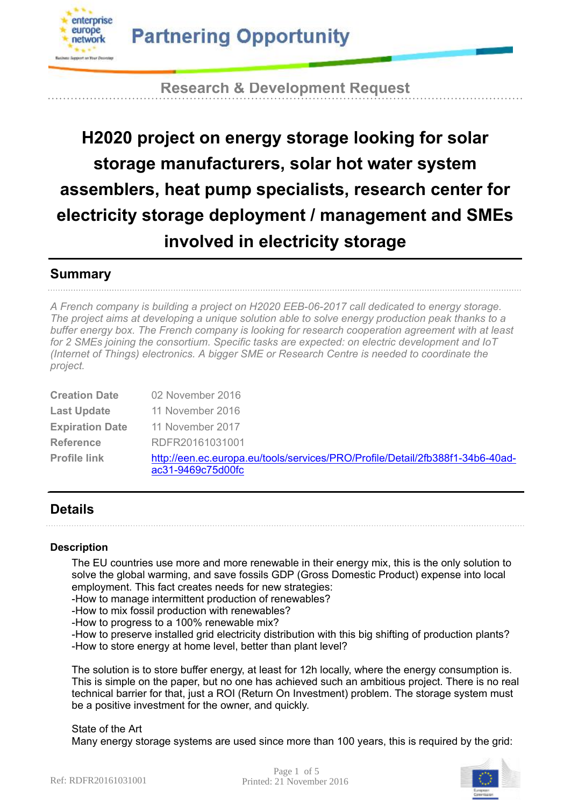

**Research & Development Request**

# **H2020 project on energy storage looking for solar storage manufacturers, solar hot water system assemblers, heat pump specialists, research center for electricity storage deployment / management and SMEs involved in electricity storage**

## **Summary**

*A French company is building a project on H2020 EEB-06-2017 call dedicated to energy storage. The project aims at developing a unique solution able to solve energy production peak thanks to a buffer energy box. The French company is looking for research cooperation agreement with at least for 2 SMEs joining the consortium. Specific tasks are expected: on electric development and IoT (Internet of Things) electronics. A bigger SME or Research Centre is needed to coordinate the project.*

| <b>Creation Date</b>   | 02 November 2016                                                                                   |  |
|------------------------|----------------------------------------------------------------------------------------------------|--|
| <b>Last Update</b>     | 11 November 2016                                                                                   |  |
| <b>Expiration Date</b> | 11 November 2017                                                                                   |  |
| <b>Reference</b>       | RDFR20161031001                                                                                    |  |
| <b>Profile link</b>    | http://een.ec.europa.eu/tools/services/PRO/Profile/Detail/2fb388f1-34b6-40ad-<br>ac31-9469c75d00fc |  |

## **Details**

### **Description**

The EU countries use more and more renewable in their energy mix, this is the only solution to solve the global warming, and save fossils GDP (Gross Domestic Product) expense into local employment. This fact creates needs for new strategies:

-How to manage intermittent production of renewables?

-How to mix fossil production with renewables?

-How to progress to a 100% renewable mix?

-How to preserve installed grid electricity distribution with this big shifting of production plants? -How to store energy at home level, better than plant level?

The solution is to store buffer energy, at least for 12h locally, where the energy consumption is. This is simple on the paper, but no one has achieved such an ambitious project. There is no real technical barrier for that, just a ROI (Return On Investment) problem. The storage system must be a positive investment for the owner, and quickly.

State of the Art Many energy storage systems are used since more than 100 years, this is required by the grid: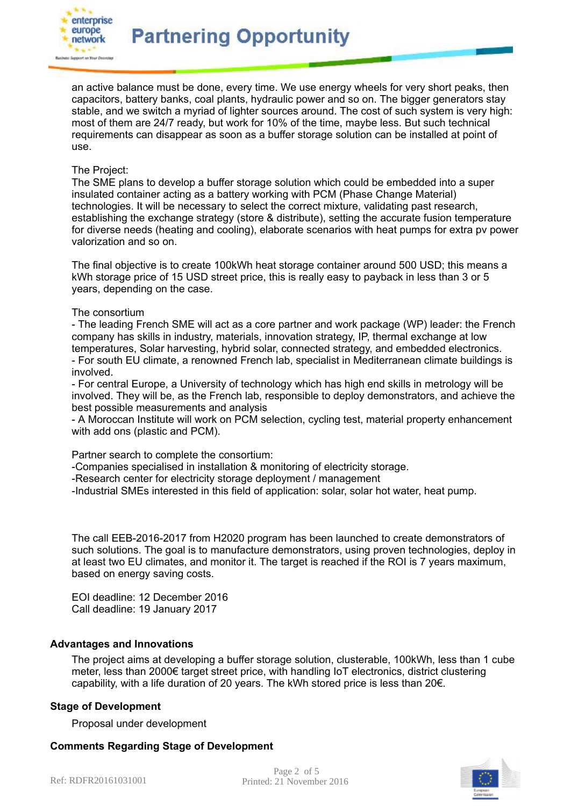

an active balance must be done, every time. We use energy wheels for very short peaks, then capacitors, battery banks, coal plants, hydraulic power and so on. The bigger generators stay stable, and we switch a myriad of lighter sources around. The cost of such system is very high: most of them are 24/7 ready, but work for 10% of the time, maybe less. But such technical requirements can disappear as soon as a buffer storage solution can be installed at point of use.

### The Project:

The SME plans to develop a buffer storage solution which could be embedded into a super insulated container acting as a battery working with PCM (Phase Change Material) technologies. It will be necessary to select the correct mixture, validating past research, establishing the exchange strategy (store & distribute), setting the accurate fusion temperature for diverse needs (heating and cooling), elaborate scenarios with heat pumps for extra pv power valorization and so on.

The final objective is to create 100kWh heat storage container around 500 USD; this means a kWh storage price of 15 USD street price, this is really easy to payback in less than 3 or 5 years, depending on the case.

#### The consortium

- The leading French SME will act as a core partner and work package (WP) leader: the French company has skills in industry, materials, innovation strategy, IP, thermal exchange at low temperatures, Solar harvesting, hybrid solar, connected strategy, and embedded electronics. - For south EU climate, a renowned French lab, specialist in Mediterranean climate buildings is involved.

- For central Europe, a University of technology which has high end skills in metrology will be involved. They will be, as the French lab, responsible to deploy demonstrators, and achieve the best possible measurements and analysis

- A Moroccan Institute will work on PCM selection, cycling test, material property enhancement with add ons (plastic and PCM).

Partner search to complete the consortium:

-Companies specialised in installation & monitoring of electricity storage.

-Research center for electricity storage deployment / management

-Industrial SMEs interested in this field of application: solar, solar hot water, heat pump.

The call EEB-2016-2017 from H2020 program has been launched to create demonstrators of such solutions. The goal is to manufacture demonstrators, using proven technologies, deploy in at least two EU climates, and monitor it. The target is reached if the ROI is 7 years maximum, based on energy saving costs.

EOI deadline: 12 December 2016 Call deadline: 19 January 2017

### **Advantages and Innovations**

The project aims at developing a buffer storage solution, clusterable, 100kWh, less than 1 cube meter, less than 2000€ target street price, with handling IoT electronics, district clustering capability, with a life duration of 20 years. The kWh stored price is less than 20€.

#### **Stage of Development**

Proposal under development

### **Comments Regarding Stage of Development**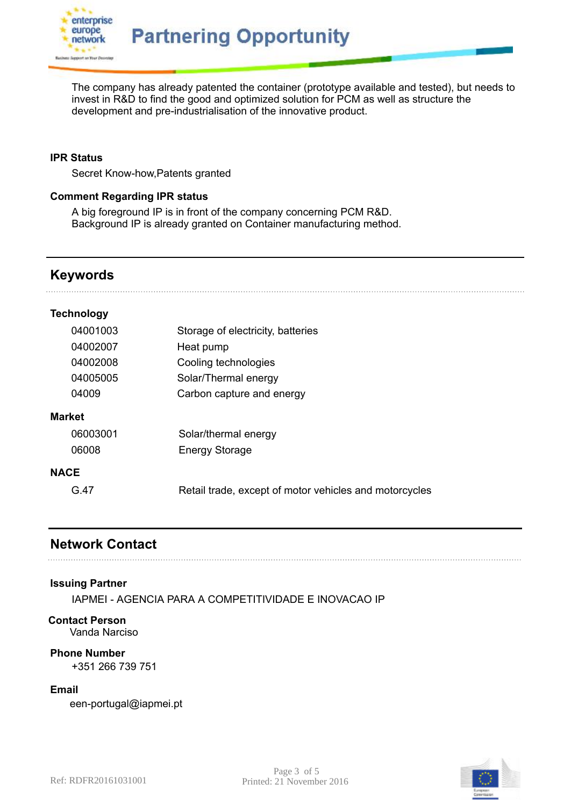

The company has already patented the container (prototype available and tested), but needs to invest in R&D to find the good and optimized solution for PCM as well as structure the development and pre-industrialisation of the innovative product.

### **IPR Status**

Secret Know-how,Patents granted

### **Comment Regarding IPR status**

A big foreground IP is in front of the company concerning PCM R&D. Background IP is already granted on Container manufacturing method.

### **Keywords**

### **Technology**

|               | 04001003 | Storage of electricity, batteries                      |
|---------------|----------|--------------------------------------------------------|
|               | 04002007 | Heat pump                                              |
|               | 04002008 | Cooling technologies                                   |
|               | 04005005 | Solar/Thermal energy                                   |
|               | 04009    | Carbon capture and energy                              |
| <b>Market</b> |          |                                                        |
|               | 06003001 | Solar/thermal energy                                   |
|               | 06008    | <b>Energy Storage</b>                                  |
| <b>NACE</b>   |          |                                                        |
|               | G 47     | Retail trade, except of motor vehicles and motorcycles |
|               |          |                                                        |

### **Network Contact**

### **Issuing Partner**

IAPMEI - AGENCIA PARA A COMPETITIVIDADE E INOVACAO IP

### **Contact Person**

Vanda Narciso

### **Phone Number**

+351 266 739 751

### **Email**

een-portugal@iapmei.pt

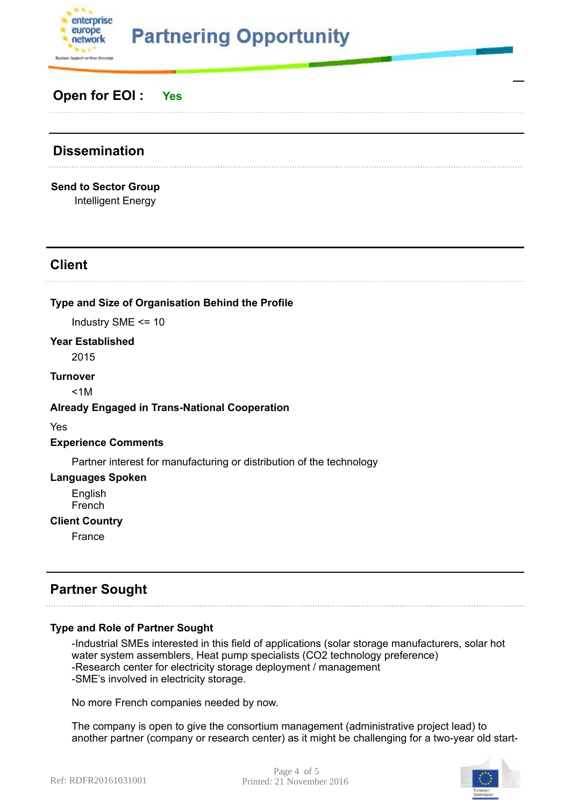

# **Partnering Opportunity**

## **Open for EOI : Yes**

# **Dissemination**

**Send to Sector Group** Intelligent Energy

## **Client**

### **Type and Size of Organisation Behind the Profile**

Industry SME <= 10

### **Year Established**

2015

### **Turnover**

 $< 1M$ 

### **Already Engaged in Trans-National Cooperation**

Yes

### **Experience Comments**

Partner interest for manufacturing or distribution of the technology

### **Languages Spoken**

English French

### **Client Country**

France

## **Partner Sought**

### **Type and Role of Partner Sought**

-Industrial SMEs interested in this field of applications (solar storage manufacturers, solar hot water system assemblers, Heat pump specialists (CO2 technology preference) -Research center for electricity storage deployment / management -SME's involved in electricity storage.

No more French companies needed by now.

The company is open to give the consortium management (administrative project lead) to another partner (company or research center) as it might be challenging for a two-year old start-